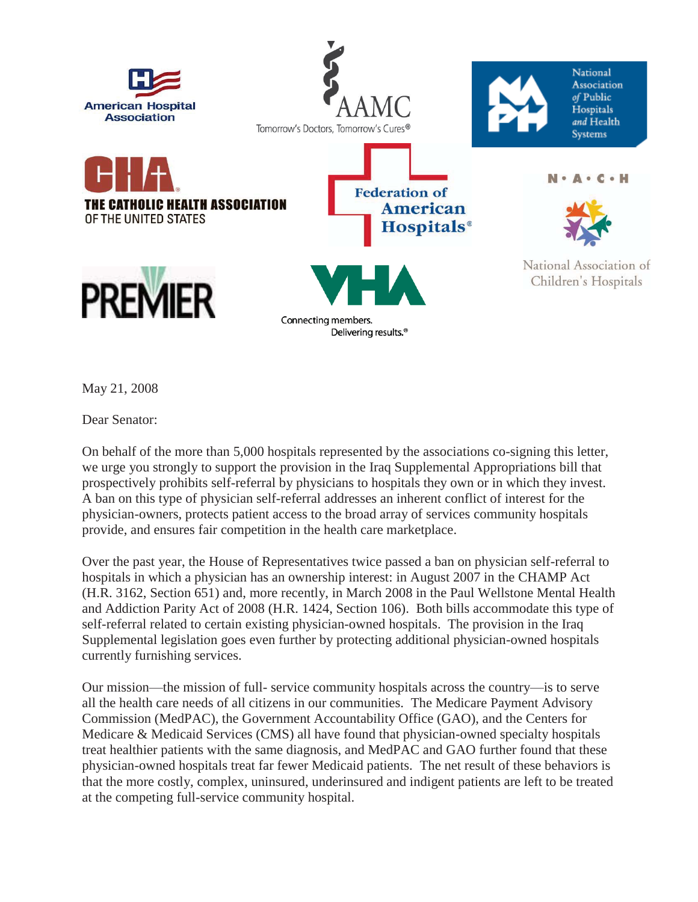

May 21, 2008

Dear Senator:

On behalf of the more than 5,000 hospitals represented by the associations co-signing this letter, we urge you strongly to support the provision in the Iraq Supplemental Appropriations bill that prospectively prohibits self-referral by physicians to hospitals they own or in which they invest. A ban on this type of physician self-referral addresses an inherent conflict of interest for the physician-owners, protects patient access to the broad array of services community hospitals provide, and ensures fair competition in the health care marketplace.

Over the past year, the House of Representatives twice passed a ban on physician self-referral to hospitals in which a physician has an ownership interest: in August 2007 in the CHAMP Act (H.R. 3162, Section 651) and, more recently, in March 2008 in the Paul Wellstone Mental Health and Addiction Parity Act of 2008 (H.R. 1424, Section 106). Both bills accommodate this type of self-referral related to certain existing physician-owned hospitals. The provision in the Iraq Supplemental legislation goes even further by protecting additional physician-owned hospitals currently furnishing services.

Our mission—the mission of full- service community hospitals across the country—is to serve all the health care needs of all citizens in our communities. The Medicare Payment Advisory Commission (MedPAC), the Government Accountability Office (GAO), and the Centers for Medicare & Medicaid Services (CMS) all have found that physician-owned specialty hospitals treat healthier patients with the same diagnosis, and MedPAC and GAO further found that these physician-owned hospitals treat far fewer Medicaid patients. The net result of these behaviors is that the more costly, complex, uninsured, underinsured and indigent patients are left to be treated at the competing full-service community hospital.